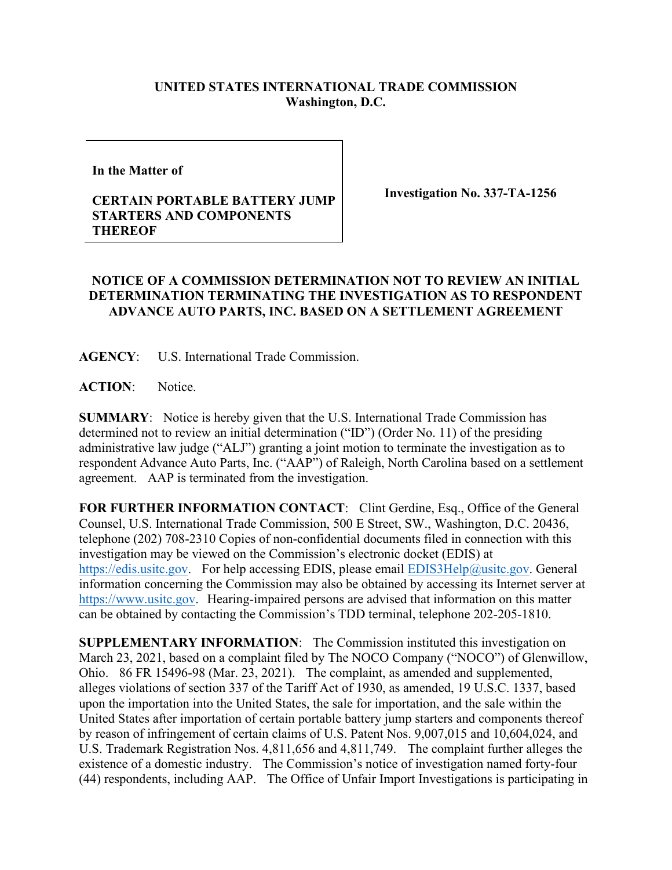## **UNITED STATES INTERNATIONAL TRADE COMMISSION Washington, D.C.**

**In the Matter of** 

## **CERTAIN PORTABLE BATTERY JUMP STARTERS AND COMPONENTS THEREOF**

**Investigation No. 337-TA-1256**

## **NOTICE OF A COMMISSION DETERMINATION NOT TO REVIEW AN INITIAL DETERMINATION TERMINATING THE INVESTIGATION AS TO RESPONDENT ADVANCE AUTO PARTS, INC. BASED ON A SETTLEMENT AGREEMENT**

**AGENCY**: U.S. International Trade Commission.

**ACTION**: Notice.

**SUMMARY**: Notice is hereby given that the U.S. International Trade Commission has determined not to review an initial determination ("ID") (Order No. 11) of the presiding administrative law judge ("ALJ") granting a joint motion to terminate the investigation as to respondent Advance Auto Parts, Inc. ("AAP") of Raleigh, North Carolina based on a settlement agreement. AAP is terminated from the investigation.

**FOR FURTHER INFORMATION CONTACT**: Clint Gerdine, Esq., Office of the General Counsel, U.S. International Trade Commission, 500 E Street, SW., Washington, D.C. 20436, telephone (202) 708-2310 Copies of non-confidential documents filed in connection with this investigation may be viewed on the Commission's electronic docket (EDIS) at [https://edis.usitc.gov.](https://edis.usitc.gov/) For help accessing EDIS, please email [EDIS3Help@usitc.gov.](mailto:EDIS3Help@usitc.gov) General information concerning the Commission may also be obtained by accessing its Internet server at [https://www.usitc.gov.](https://www.usitc.gov/) Hearing-impaired persons are advised that information on this matter can be obtained by contacting the Commission's TDD terminal, telephone 202-205-1810.

**SUPPLEMENTARY INFORMATION**: The Commission instituted this investigation on March 23, 2021, based on a complaint filed by The NOCO Company ("NOCO") of Glenwillow, Ohio. 86 FR 15496-98 (Mar. 23, 2021). The complaint, as amended and supplemented, alleges violations of section 337 of the Tariff Act of 1930, as amended, 19 U.S.C. 1337, based upon the importation into the United States, the sale for importation, and the sale within the United States after importation of certain portable battery jump starters and components thereof by reason of infringement of certain claims of U.S. Patent Nos. 9,007,015 and 10,604,024, and U.S. Trademark Registration Nos. 4,811,656 and 4,811,749.The complaint further alleges the existence of a domestic industry. The Commission's notice of investigation named forty-four (44) respondents, including AAP. The Office of Unfair Import Investigations is participating in